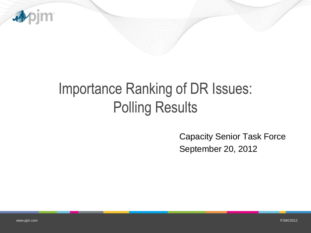

## Importance Ranking of DR Issues: Polling Results

Capacity Senior Task Force September 20, 2012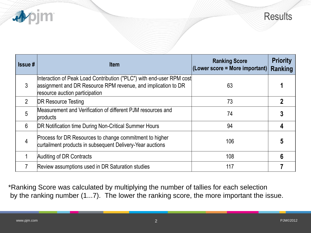



| $\textsf{Is}$ sue # | <b>Item</b>                                                                                                                                                             | <b>Ranking Score</b><br>$ $ (Lower score = More important) $ $ | <b>Priority</b><br>Ranking |
|---------------------|-------------------------------------------------------------------------------------------------------------------------------------------------------------------------|----------------------------------------------------------------|----------------------------|
| 3                   | Interaction of Peak Load Contribution ("PLC") with end-user RPM cost<br>assignment and DR Resource RPM revenue, and implication to DR<br>resource auction participation | 63                                                             |                            |
| $\overline{2}$      | <b>DR Resource Testing</b>                                                                                                                                              | 73                                                             |                            |
| 5                   | Measurement and Verification of different PJM resources and<br>products                                                                                                 | 74                                                             |                            |
| 6                   | DR Notification time During Non-Critical Summer Hours                                                                                                                   | 94                                                             |                            |
| 4                   | Process for DR Resources to change commitment to higher<br>curtailment products in subsequent Delivery-Year auctions                                                    | 106                                                            |                            |
|                     | Auditing of DR Contracts                                                                                                                                                | 108                                                            |                            |
|                     | Review assumptions used in DR Saturation studies                                                                                                                        | 117                                                            |                            |

\*Ranking Score was calculated by multiplying the number of tallies for each selection by the ranking number (1...7). The lower the ranking score, the more important the issue.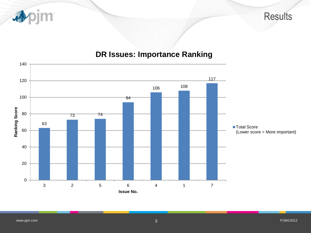

## **DR Issues: Importance Ranking**